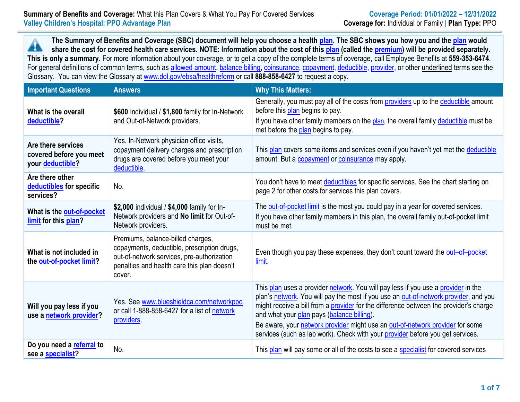**The Summary of Benefits and Coverage (SBC) document will help you choose a health [plan.](https://www.healthcare.gov/sbc-glossary/#plan) The SBC shows you how you and the [plan](https://www.healthcare.gov/sbc-glossary/#plan) would** Æ **share the cost for covered health care services. NOTE: Information about the cost of this [plan](https://www.healthcare.gov/sbc-glossary/#plan) (called the [premium\)](https://www.healthcare.gov/sbc-glossary/#premium) will be provided separately. This is only a summary.** For more information about your coverage, or to get a copy of the complete terms of coverage, call Employee Benefits at **559-353-6474**. For general definitions of common terms, such as [allowed amount,](https://www.healthcare.gov/sbc-glossary/#allowed-amount) [balance billing,](https://www.healthcare.gov/sbc-glossary/#balance-billing) [coinsurance,](https://www.healthcare.gov/sbc-glossary/#coinsurance) [copayment,](https://www.healthcare.gov/sbc-glossary/#copayment) [deductible,](https://www.healthcare.gov/sbc-glossary/#deductible) [provider,](https://www.healthcare.gov/sbc-glossary/#provider) or other underlined terms see the Glossary. You can view the Glossary at [www.dol.gov/ebsa/healthreform](file:///C:/Users/jmccormick/Users$/EMends/www.dol.gov/ebsa/healthreform) or call **888-858-6427** to request a copy.

| <b>Important Questions</b>                                        | <b>Answers</b>                                                                                                                                                                          | <b>Why This Matters:</b>                                                                                                                                                                                                                                                                                                                                                                                                                                                            |
|-------------------------------------------------------------------|-----------------------------------------------------------------------------------------------------------------------------------------------------------------------------------------|-------------------------------------------------------------------------------------------------------------------------------------------------------------------------------------------------------------------------------------------------------------------------------------------------------------------------------------------------------------------------------------------------------------------------------------------------------------------------------------|
| What is the overall<br>deductible?                                | \$600 individual / \$1,800 family for In-Network<br>and Out-of-Network providers.                                                                                                       | Generally, you must pay all of the costs from providers up to the deductible amount<br>before this plan begins to pay.<br>If you have other family members on the plan, the overall family deductible must be<br>met before the plan begins to pay.                                                                                                                                                                                                                                 |
| Are there services<br>covered before you meet<br>your deductible? | Yes. In-Network physician office visits,<br>copayment delivery charges and prescription<br>drugs are covered before you meet your<br>deductible.                                        | This plan covers some items and services even if you haven't yet met the deductible<br>amount. But a copayment or coinsurance may apply.                                                                                                                                                                                                                                                                                                                                            |
| Are there other<br>deductibles for specific<br>services?          | No.                                                                                                                                                                                     | You don't have to meet deductibles for specific services. See the chart starting on<br>page 2 for other costs for services this plan covers.                                                                                                                                                                                                                                                                                                                                        |
| What is the out-of-pocket<br>limit for this plan?                 | \$2,000 individual / \$4,000 family for In-<br>Network providers and No limit for Out-of-<br>Network providers.                                                                         | The out-of-pocket limit is the most you could pay in a year for covered services.<br>If you have other family members in this plan, the overall family out-of-pocket limit<br>must be met.                                                                                                                                                                                                                                                                                          |
| What is not included in<br>the out-of-pocket limit?               | Premiums, balance-billed charges,<br>copayments, deductible, prescription drugs,<br>out-of-network services, pre-authorization<br>penalties and health care this plan doesn't<br>cover. | Even though you pay these expenses, they don't count toward the out-of-pocket<br>limit.                                                                                                                                                                                                                                                                                                                                                                                             |
| Will you pay less if you<br>use a network provider?               | Yes. See www.blueshieldca.com/networkppo<br>or call 1-888-858-6427 for a list of network<br>providers.                                                                                  | This plan uses a provider network. You will pay less if you use a provider in the<br>plan's network. You will pay the most if you use an out-of-network provider, and you<br>might receive a bill from a provider for the difference between the provider's charge<br>and what your plan pays (balance billing).<br>Be aware, your network provider might use an out-of-network provider for some<br>services (such as lab work). Check with your provider before you get services. |
| Do you need a referral to<br>see a specialist?                    | No.                                                                                                                                                                                     | This plan will pay some or all of the costs to see a specialist for covered services                                                                                                                                                                                                                                                                                                                                                                                                |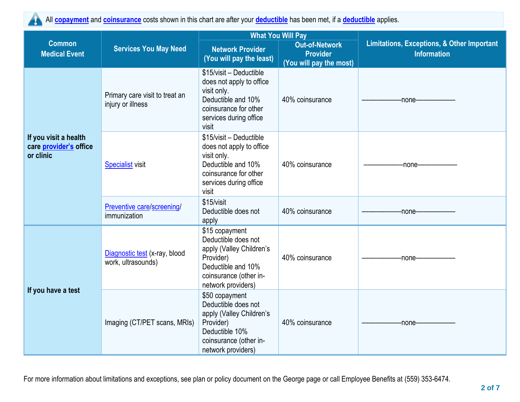

All **[copayment](https://www.healthcare.gov/sbc-glossary/#copayment)** and **[coinsurance](https://www.healthcare.gov/sbc-glossary/#coinsurance)** costs shown in this chart are after your **[deductible](https://www.healthcare.gov/sbc-glossary/#deductible)** has been met, if a **[deductible](https://www.healthcare.gov/sbc-glossary/#deductible)** applies.

|                                                              | <b>Services You May Need</b>                        | <b>What You Will Pay</b>                                                                                                                             |                                                                     |                                                                             |  |
|--------------------------------------------------------------|-----------------------------------------------------|------------------------------------------------------------------------------------------------------------------------------------------------------|---------------------------------------------------------------------|-----------------------------------------------------------------------------|--|
| <b>Common</b><br><b>Medical Event</b>                        |                                                     | <b>Network Provider</b><br>(You will pay the least)                                                                                                  | <b>Out-of-Network</b><br><b>Provider</b><br>(You will pay the most) | <b>Limitations, Exceptions, &amp; Other Important</b><br><b>Information</b> |  |
| If you visit a health<br>care provider's office<br>or clinic | Primary care visit to treat an<br>injury or illness | \$15/visit - Deductible<br>does not apply to office<br>visit only.<br>Deductible and 10%<br>coinsurance for other<br>services during office<br>visit | 40% coinsurance                                                     | -none-                                                                      |  |
|                                                              | <b>Specialist visit</b>                             | \$15/visit - Deductible<br>does not apply to office<br>visit only.<br>Deductible and 10%<br>coinsurance for other<br>services during office<br>visit | 40% coinsurance                                                     | -none-                                                                      |  |
|                                                              | Preventive care/screening/<br>immunization          | \$15/visit<br>Deductible does not<br>apply                                                                                                           | 40% coinsurance                                                     | -none-                                                                      |  |
| If you have a test                                           | Diagnostic test (x-ray, blood<br>work, ultrasounds) | \$15 copayment<br>Deductible does not<br>apply (Valley Children's<br>Provider)<br>Deductible and 10%<br>coinsurance (other in-<br>network providers) | 40% coinsurance                                                     | -none-                                                                      |  |
|                                                              | Imaging (CT/PET scans, MRIs)                        | \$50 copayment<br>Deductible does not<br>apply (Valley Children's<br>Provider)<br>Deductible 10%<br>coinsurance (other in-<br>network providers)     | 40% coinsurance                                                     | -none-                                                                      |  |

For more information about limitations and exceptions, see plan or policy document on the George page or call Employee Benefits at (559) 353-6474.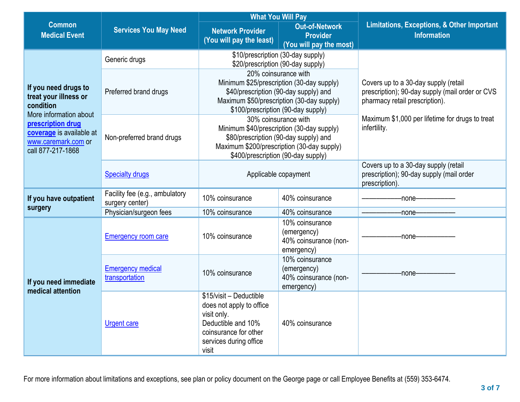|                                                                                                                                                                                   | <b>Services You May Need</b>                      | <b>What You Will Pay</b>                                                                                                                                                                       |                                                                       |                                                                                                                                                                                              |  |
|-----------------------------------------------------------------------------------------------------------------------------------------------------------------------------------|---------------------------------------------------|------------------------------------------------------------------------------------------------------------------------------------------------------------------------------------------------|-----------------------------------------------------------------------|----------------------------------------------------------------------------------------------------------------------------------------------------------------------------------------------|--|
| <b>Common</b><br><b>Medical Event</b>                                                                                                                                             |                                                   | <b>Network Provider</b><br>(You will pay the least)                                                                                                                                            | <b>Out-of-Network</b><br><b>Provider</b><br>(You will pay the most)   | <b>Limitations, Exceptions, &amp; Other Important</b><br><b>Information</b>                                                                                                                  |  |
| If you need drugs to<br>treat your illness or<br>condition<br>More information about<br>prescription drug<br>coverage is available at<br>www.caremark.com or<br>call 877-217-1868 | Generic drugs                                     | \$10/prescription (30-day supply)<br>\$20/prescription (90-day supply)                                                                                                                         |                                                                       |                                                                                                                                                                                              |  |
|                                                                                                                                                                                   | Preferred brand drugs                             | 20% coinsurance with<br>Minimum \$25/prescription (30-day supply)<br>\$40/prescription (90-day supply) and<br>Maximum \$50/prescription (30-day supply)<br>\$100/prescription (90-day supply)  |                                                                       | Covers up to a 30-day supply (retail<br>prescription); 90-day supply (mail order or CVS<br>pharmacy retail prescription).<br>Maximum \$1,000 per lifetime for drugs to treat<br>infertility. |  |
|                                                                                                                                                                                   | Non-preferred brand drugs                         | 30% coinsurance with<br>Minimum \$40/prescription (30-day supply)<br>\$80/prescription (90-day supply) and<br>Maximum \$200/prescription (30-day supply)<br>\$400/prescription (90-day supply) |                                                                       |                                                                                                                                                                                              |  |
|                                                                                                                                                                                   | <b>Specialty drugs</b>                            | Applicable copayment                                                                                                                                                                           |                                                                       | Covers up to a 30-day supply (retail<br>prescription); 90-day supply (mail order<br>prescription).                                                                                           |  |
| If you have outpatient                                                                                                                                                            | Facility fee (e.g., ambulatory<br>surgery center) | 10% coinsurance                                                                                                                                                                                | 40% coinsurance                                                       | -none-                                                                                                                                                                                       |  |
| surgery                                                                                                                                                                           | Physician/surgeon fees                            | 10% coinsurance                                                                                                                                                                                | 40% coinsurance                                                       | -none-                                                                                                                                                                                       |  |
| If you need immediate<br>medical attention                                                                                                                                        | Emergency room care                               | 10% coinsurance                                                                                                                                                                                | 10% coinsurance<br>(emergency)<br>40% coinsurance (non-<br>emergency) | -none-                                                                                                                                                                                       |  |
|                                                                                                                                                                                   | <b>Emergency medical</b><br>transportation        | 10% coinsurance                                                                                                                                                                                | 10% coinsurance<br>(emergency)<br>40% coinsurance (non-<br>emergency) | -none-                                                                                                                                                                                       |  |
|                                                                                                                                                                                   | <b>Urgent care</b>                                | \$15/visit - Deductible<br>does not apply to office<br>visit only.<br>Deductible and 10%<br>coinsurance for other<br>services during office<br>visit                                           | 40% coinsurance                                                       |                                                                                                                                                                                              |  |

For more information about limitations and exceptions, see plan or policy document on the George page or call Employee Benefits at (559) 353-6474.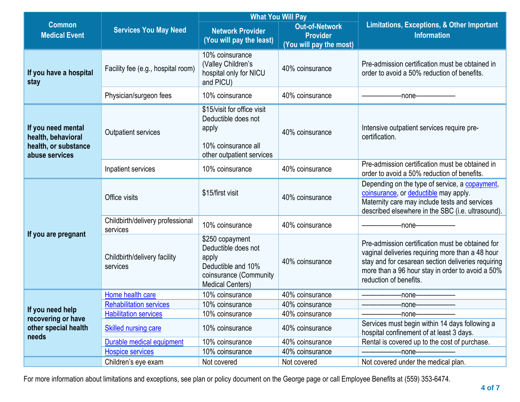|                                                                                    | <b>Services You May Need</b>                         | <b>What You Will Pay</b>                                                                                                   |                                                                     |                                                                                                                                                                                                                                          |  |
|------------------------------------------------------------------------------------|------------------------------------------------------|----------------------------------------------------------------------------------------------------------------------------|---------------------------------------------------------------------|------------------------------------------------------------------------------------------------------------------------------------------------------------------------------------------------------------------------------------------|--|
| <b>Common</b><br><b>Medical Event</b>                                              |                                                      | <b>Network Provider</b><br>(You will pay the least)                                                                        | <b>Out-of-Network</b><br><b>Provider</b><br>(You will pay the most) | <b>Limitations, Exceptions, &amp; Other Important</b><br><b>Information</b>                                                                                                                                                              |  |
| If you have a hospital<br>stay                                                     | Facility fee (e.g., hospital room)                   | 10% coinsurance<br>(Valley Children's<br>hospital only for NICU<br>and PICU)                                               | 40% coinsurance                                                     | Pre-admission certification must be obtained in<br>order to avoid a 50% reduction of benefits.                                                                                                                                           |  |
|                                                                                    | Physician/surgeon fees                               | 10% coinsurance                                                                                                            | 40% coinsurance                                                     | -none—                                                                                                                                                                                                                                   |  |
| If you need mental<br>health, behavioral<br>health, or substance<br>abuse services | <b>Outpatient services</b>                           | \$15/visit for office visit<br>Deductible does not<br>apply<br>10% coinsurance all<br>other outpatient services            | 40% coinsurance                                                     | Intensive outpatient services require pre-<br>certification.                                                                                                                                                                             |  |
|                                                                                    | Inpatient services                                   | 10% coinsurance                                                                                                            | 40% coinsurance                                                     | Pre-admission certification must be obtained in<br>order to avoid a 50% reduction of benefits.                                                                                                                                           |  |
|                                                                                    | Office visits                                        | \$15/first visit                                                                                                           | 40% coinsurance                                                     | Depending on the type of service, a copayment,<br>coinsurance, or deductible may apply.<br>Maternity care may include tests and services<br>described elsewhere in the SBC (i.e. ultrasound).                                            |  |
|                                                                                    | Childbirth/delivery professional<br>services         | 10% coinsurance                                                                                                            | 40% coinsurance                                                     | -none-                                                                                                                                                                                                                                   |  |
| If you are pregnant                                                                | Childbirth/delivery facility<br>services             | \$250 copayment<br>Deductible does not<br>apply<br>Deductible and 10%<br>coinsurance (Community<br><b>Medical Centers)</b> | 40% coinsurance                                                     | Pre-admission certification must be obtained for<br>vaginal deliveries requiring more than a 48 hour<br>stay and for cesarean section deliveries requiring<br>more than a 96 hour stay in order to avoid a 50%<br>reduction of benefits. |  |
|                                                                                    | Home health care                                     | 10% coinsurance                                                                                                            | 40% coinsurance                                                     | -none-                                                                                                                                                                                                                                   |  |
| If you need help                                                                   | <b>Rehabilitation services</b>                       | 10% coinsurance                                                                                                            | 40% coinsurance                                                     | -none-                                                                                                                                                                                                                                   |  |
| recovering or have<br>other special health<br>needs                                | <b>Habilitation services</b><br>Skilled nursing care | 10% coinsurance<br>10% coinsurance                                                                                         | 40% coinsurance<br>40% coinsurance                                  | -none-<br>Services must begin within 14 days following a<br>hospital confinement of at least 3 days.                                                                                                                                     |  |
|                                                                                    | Durable medical equipment                            | 10% coinsurance                                                                                                            | 40% coinsurance                                                     | Rental is covered up to the cost of purchase.                                                                                                                                                                                            |  |
|                                                                                    | <b>Hospice services</b>                              | 10% coinsurance                                                                                                            | 40% coinsurance                                                     | -none-                                                                                                                                                                                                                                   |  |
|                                                                                    | Children's eye exam                                  | Not covered                                                                                                                | Not covered                                                         | Not covered under the medical plan.                                                                                                                                                                                                      |  |

For more information about limitations and exceptions, see plan or policy document on the George page or call Employee Benefits at (559) 353-6474.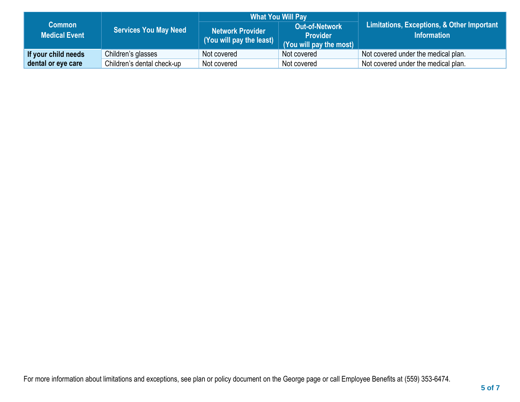|                                       | <b>Services You May Need</b> | <b>What You Will Pay</b>                                 |                                                                     |                                                                  |
|---------------------------------------|------------------------------|----------------------------------------------------------|---------------------------------------------------------------------|------------------------------------------------------------------|
| <b>Common</b><br><b>Medical Event</b> |                              | Network Provider<br>(You will pay the least) $\parallel$ | <b>Out-of-Network</b><br><b>Provider</b><br>(You will pay the most) | Limitations, Exceptions, & Other Important<br><b>Information</b> |
| If your child needs                   | Children's glasses           | Not covered                                              | Not covered                                                         | Not covered under the medical plan.                              |
| dental or eye care                    | Children's dental check-up   | Not covered                                              | Not covered                                                         | Not covered under the medical plan.                              |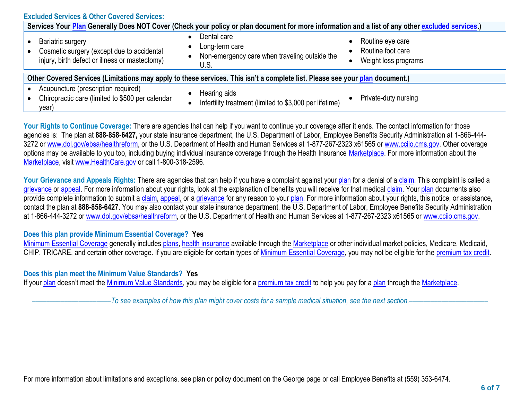| <b>Excluded Services &amp; Other Covered Services:</b>                                                                                           |                                                                                        |                                                                                         |  |  |  |
|--------------------------------------------------------------------------------------------------------------------------------------------------|----------------------------------------------------------------------------------------|-----------------------------------------------------------------------------------------|--|--|--|
| Services Your Plan Generally Does NOT Cover (Check your policy or plan document for more information and a list of any other excluded services.) |                                                                                        |                                                                                         |  |  |  |
| <b>Bariatric surgery</b><br>Cosmetic surgery (except due to accidental<br>injury, birth defect or illness or mastectomy)                         | Dental care<br>Long-term care<br>Non-emergency care when traveling outside the<br>U.S. | Routine eye care<br>$\bullet$<br>Routine foot care<br>Weight loss programs<br>$\bullet$ |  |  |  |
| Other Covered Services (Limitations may apply to these services. This isn't a complete list. Please see your plan document.)                     |                                                                                        |                                                                                         |  |  |  |
| Acupuncture (prescription required)<br>Chiropractic care (limited to \$500 per calendar<br>year)                                                 | Hearing aids<br>Infertility treatment (limited to \$3,000 per lifetime)                | Private-duty nursing                                                                    |  |  |  |

Your Rights to Continue Coverage: There are agencies that can help if you want to continue your coverage after it ends. The contact information for those agencies is: The plan at **888-858-6427,** your state insurance department, the U.S. Department of Labor, Employee Benefits Security Administration at 1-866-444 3272 or [www.dol.gov/ebsa/](http://www.dol.gov/ebsa)healthreform, or the U.S. Department of Health and Human Services at 1-877-267-2323 x61565 or [www.cciio.cms.gov.](http://www.cciio.cms.gov/) Other coverage options may be available to you too, including buying individual insurance coverage through the Health Insurance [Marketplace.](https://www.healthcare.gov/sbc-glossary/#marketplace) For more information about the [Marketplace,](https://www.healthcare.gov/sbc-glossary/#marketplace) visit [www.HealthCare.gov](http://www.healthcare.gov/) or call 1-800-318-2596.

Your Grievance and Appeals Rights: There are agencies that can help if you have a complaint against your [plan](https://www.healthcare.gov/sbc-glossary/#plan) for a denial of a [claim.](https://www.healthcare.gov/sbc-glossary/#claim) This complaint is called a [grievance](https://www.healthcare.gov/sbc-glossary/#grievance) or [appeal.](https://www.healthcare.gov/sbc-glossary/#appeal) For more information about your rights, look at the explanation of benefits you will receive for that medical [claim.](https://www.healthcare.gov/sbc-glossary/#claim) Your [plan](https://www.healthcare.gov/sbc-glossary/#plan) documents also provide complete information to submit a [claim,](https://www.healthcare.gov/sbc-glossary/#claim) [appeal,](https://www.healthcare.gov/sbc-glossary/#appeal) or a [grievance](https://www.healthcare.gov/sbc-glossary/#grievance) for any reason to your [plan.](https://www.healthcare.gov/sbc-glossary/#plan) For more information about your rights, this notice, or assistance, contact the plan at **888-858-6427**. You may also contact your state insurance department, the U.S. Department of Labor, Employee Benefits Security Administration at 1-866-444-3272 or [www.dol.gov/ebsa/](http://www.dol.gov/ebsa)healthreform, or the U.S. Department of Health and Human Services at 1-877-267-2323 x61565 or [www.cciio.cms.gov.](http://www.cciio.cms.gov/)

## **Does this plan provide Minimum Essential Coverage? Yes**

[Minimum Essential Coverage](https://www.healthcare.gov/sbc-glossary/#minimum-essential-coverage) generally includes [plans,](https://www.healthcare.gov/sbc-glossary/#plan) [health insurance](https://www.healthcare.gov/sbc-glossary/#health-insurance) available through the [Marketplace](https://www.healthcare.gov/sbc-glossary/#marketplace) or other individual market policies, Medicare, Medicaid, CHIP, TRICARE, and certain other coverage. If you are eligible for certain types of [Minimum Essential Coverage,](https://www.healthcare.gov/sbc-glossary/#minimum-essential-coverage) you may not be eligible for the [premium tax credit.](https://www.healthcare.gov/sbc-glossary/#premium-tax-credits)

## **Does this plan meet the Minimum Value Standards? Yes**

If your [plan](https://www.healthcare.gov/sbc-glossary/#plan) doesn't meet the [Minimum Value Standards,](https://www.healthcare.gov/sbc-glossary/#minimum-value-standard) you may be eligible for a [premium tax credit](https://www.healthcare.gov/sbc-glossary/#premium-tax-credits) to help you pay for a [plan](https://www.healthcare.gov/sbc-glossary/#plan) through the [Marketplace.](https://www.healthcare.gov/sbc-glossary/#marketplace)

––––––––––––––––––––––*To see examples of how this plan might cover costs for a sample medical situation, see the next section.–––––––––––*–––––––––––